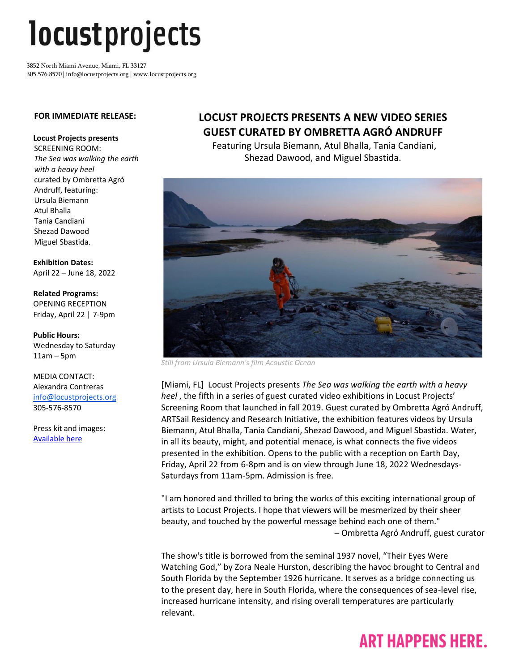# *locustprojects*

3852 North Miami Avenue, Miami, FL 33127 305.576.8570 | info@locustprojects.org | www.locustprojects.org

#### **FOR IMMEDIATE RELEASE:**

#### **Locust Projects presents**

SCREENING ROOM: *The Sea was walking the earth with a heavy heel* curated by Ombretta Agró Andruff, featuring: Ursula Biemann Atul Bhalla Tania Candiani Shezad Dawood Miguel Sbastida.

**Exhibition Dates:** April 22 – June 18, 2022

**Related Programs:** OPENING RECEPTION Friday, April 22 | 7-9pm

**Public Hours:** Wednesday to Saturday 11am – 5pm

MEDIA CONTACT: Alexandra Contreras [info@locustprojects.org](mailto:info@locustprojects.org) 305-576-8570

Press kit and images: [Available here](https://www.dropbox.com/sh/fig14yudmlw2c22/AABF0MrKT1DxMeGACXtwVS2Va?dl=0)

### **LOCUST PROJECTS PRESENTS A NEW VIDEO SERIES GUEST CURATED BY OMBRETTA AGRÓ ANDRUFF**

Featuring Ursula Biemann, Atul Bhalla, Tania Candiani, Shezad Dawood, and Miguel Sbastida.



*Still from Ursula Biemann's film Acoustic Ocean*

[Miami, FL] Locust Projects presents *The Sea was walking the earth with a heavy heel* , the fifth in a series of guest curated video exhibitions in Locust Projects' Screening Room that launched in fall 2019. Guest curated by Ombretta Agró Andruff, ARTSail Residency and Research Initiative, the exhibition features videos by Ursula Biemann, Atul Bhalla, Tania Candiani, Shezad Dawood, and Miguel Sbastida. Water, in all its beauty, might, and potential menace, is what connects the five videos presented in the exhibition. Opens to the public with a reception on Earth Day, Friday, April 22 from 6-8pm and is on view through June 18, 2022 Wednesdays-Saturdays from 11am-5pm. Admission is free.

"I am honored and thrilled to bring the works of this exciting international group of artists to Locust Projects. I hope that viewers will be mesmerized by their sheer beauty, and touched by the powerful message behind each one of them." – Ombretta Agró Andruff, guest curator

The show's title is borrowed from the seminal 1937 novel, "Their Eyes Were Watching God," by Zora Neale Hurston, describing the havoc brought to Central and South Florida by the September 1926 hurricane. It serves as a bridge connecting us to the present day, here in South Florida, where the consequences of sea-level rise, increased hurricane intensity, and rising overall temperatures are particularly relevant.

## **ART HAPPENS HERE.**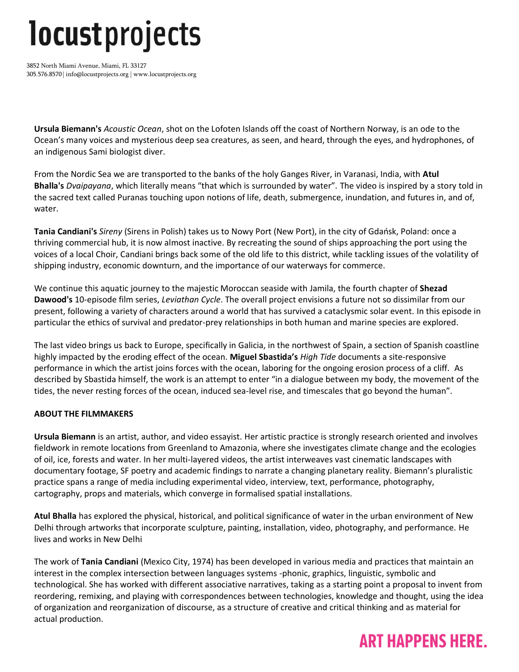## *locustprojects*

3852 North Miami Avenue, Miami, FL 33127 305.576.8570 | info@locustprojects.org | www.locustprojects.org

**Ursula Biemann's** *Acoustic Ocean*, shot on the Lofoten Islands off the coast of Northern Norway, is an ode to the Ocean's many voices and mysterious deep sea creatures, as seen, and heard, through the eyes, and hydrophones, of an indigenous Sami biologist diver.

From the Nordic Sea we are transported to the banks of the holy Ganges River, in Varanasi, India, with **Atul Bhalla's** *Dvaipayana*, which literally means "that which is surrounded by water". The video is inspired by a story told in the sacred text called Puranas touching upon notions of life, death, submergence, inundation, and futures in, and of, water.

**Tania Candiani's** *Sireny* (Sirens in Polish) takes us to Nowy Port (New Port), in the city of Gdańsk, Poland: once a thriving commercial hub, it is now almost inactive. By recreating the sound of ships approaching the port using the voices of a local Choir, Candiani brings back some of the old life to this district, while tackling issues of the volatility of shipping industry, economic downturn, and the importance of our waterways for commerce.

We continue this aquatic journey to the majestic Moroccan seaside with Jamila, the fourth chapter of **Shezad Dawood's** 10-episode film series, *Leviathan Cycle*. The overall project envisions a future not so dissimilar from our present, following a variety of characters around a world that has survived a cataclysmic solar event. In this episode in particular the ethics of survival and predator-prey relationships in both human and marine species are explored.

The last video brings us back to Europe, specifically in Galicia, in the northwest of Spain, a section of Spanish coastline highly impacted by the eroding effect of the ocean. **Miguel Sbastida's** *High Tide* documents a site-responsive performance in which the artist joins forces with the ocean, laboring for the ongoing erosion process of a cliff. As described by Sbastida himself, the work is an attempt to enter "in a dialogue between my body, the movement of the tides, the never resting forces of the ocean, induced sea-level rise, and timescales that go beyond the human".

#### **ABOUT THE FILMMAKERS**

**Ursula Biemann** is an artist, author, and video essayist. Her artistic practice is strongly research oriented and involves fieldwork in remote locations from Greenland to Amazonia, where she investigates climate change and the ecologies of oil, ice, forests and water. In her multi-layered videos, the artist interweaves vast cinematic landscapes with documentary footage, SF poetry and academic findings to narrate a changing planetary reality. Biemann's pluralistic practice spans a range of media including experimental video, interview, text, performance, photography, cartography, props and materials, which converge in formalised spatial installations.

**Atul Bhalla** has explored the physical, historical, and political significance of water in the urban environment of New Delhi through artworks that incorporate sculpture, painting, installation, video, photography, and performance. He lives and works in New Delhi

The work of **Tania Candiani** (Mexico City, 1974) has been developed in various media and practices that maintain an interest in the complex intersection between languages systems -phonic, graphics, linguistic, symbolic and technological. She has worked with different associative narratives, taking as a starting point a proposal to invent from reordering, remixing, and playing with correspondences between technologies, knowledge and thought, using the idea of organization and reorganization of discourse, as a structure of creative and critical thinking and as material for actual production.

### **ART HAPPENS HERE.**